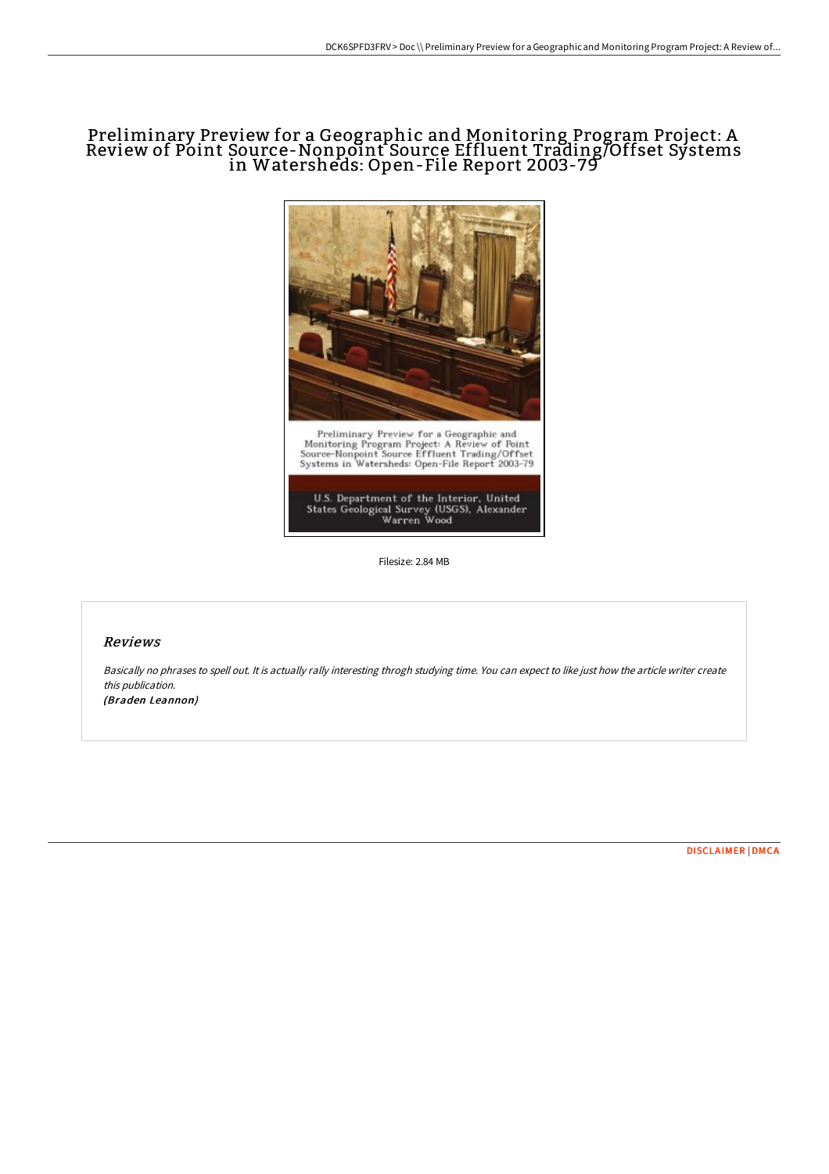# Preliminary Preview for a Geographic and Monitoring Program Project: A Review of Point Source-Nonpoint Source Effluent Trading/Offset Systems in Watersheds: Open-File Report 2003-79



U.S. Department of the Interior, United<br>States Geological Survey (USGS), Alexander<br>Warren Wood

Filesize: 2.84 MB

## Reviews

Basically no phrases to spell out. It is actually rally interesting throgh studying time. You can expect to like just how the article writer create this publication.

(Braden Leannon)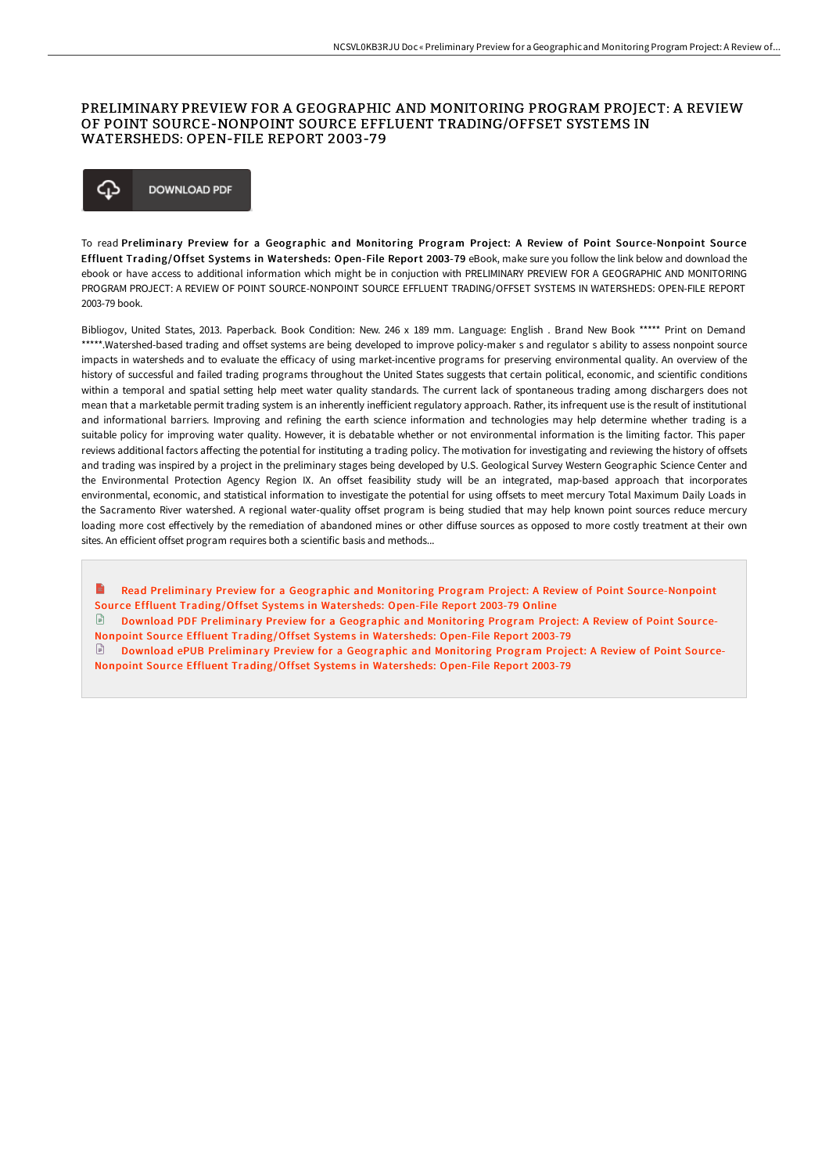## PRELIMINARY PREVIEW FOR A GEOGRAPHIC AND MONITORING PROGRAM PROJECT: A REVIEW OF POINT SOURCE-NONPOINT SOURCE EFFLUENT TRADING/OFFSET SYSTEMS IN WATERSHEDS: OPEN-FILE REPORT 2003-79

### ঞ **DOWNLOAD PDF**

To read Preliminary Preview for a Geographic and Monitoring Program Project: A Review of Point Source-Nonpoint Source Effluent Trading/Offset Systems in Watersheds: Open-File Report 2003-79 eBook, make sure you follow the link below and download the ebook or have access to additional information which might be in conjuction with PRELIMINARY PREVIEW FOR A GEOGRAPHIC AND MONITORING PROGRAM PROJECT: A REVIEW OF POINT SOURCE-NONPOINT SOURCE EFFLUENT TRADING/OFFSET SYSTEMS IN WATERSHEDS: OPEN-FILE REPORT 2003-79 book.

Bibliogov, United States, 2013. Paperback. Book Condition: New. 246 x 189 mm. Language: English . Brand New Book \*\*\*\*\* Print on Demand \*\*\*\*\*.Watershed-based trading and offset systems are being developed to improve policy-maker s and regulator s ability to assess nonpoint source impacts in watersheds and to evaluate the efficacy of using market-incentive programs for preserving environmental quality. An overview of the history of successful and failed trading programs throughout the United States suggests that certain political, economic, and scientific conditions within a temporal and spatial setting help meet water quality standards. The current lack of spontaneous trading among dischargers does not mean that a marketable permit trading system is an inherently inefficient regulatory approach. Rather, its infrequent use is the result of institutional and informational barriers. Improving and refining the earth science information and technologies may help determine whether trading is a suitable policy for improving water quality. However, it is debatable whether or not environmental information is the limiting factor. This paper reviews additional factors affecting the potential for instituting a trading policy. The motivation for investigating and reviewing the history of offsets and trading was inspired by a project in the preliminary stages being developed by U.S. Geological Survey Western Geographic Science Center and the Environmental Protection Agency Region IX. An offset feasibility study will be an integrated, map-based approach that incorporates environmental, economic, and statistical information to investigate the potential for using offsets to meet mercury Total Maximum Daily Loads in the Sacramento River watershed. A regional water-quality offset program is being studied that may help known point sources reduce mercury loading more cost effectively by the remediation of abandoned mines or other diffuse sources as opposed to more costly treatment at their own sites. An efficient offset program requires both a scientific basis and methods...

E Read Preliminary Preview for a Geographic and Monitoring Program Project: A Review of Point Source-Nonpoint Source Effluent [Trading/Offset](http://digilib.live/preliminary-preview-for-a-geographic-and-monitor.html) Systems in Watersheds: Open-File Report 2003-79 Online  $\Box$  Download PDF Preliminary Preview for a Geographic and Monitoring Program Project: A Review of Point Source-Nonpoint Source Effluent [Trading/Offset](http://digilib.live/preliminary-preview-for-a-geographic-and-monitor.html) Systems in Watersheds: Open-File Report 2003-79

 $\Box$  Download ePUB Preliminary Preview for a Geographic and Monitoring Program Project: A Review of Point Source-Nonpoint Source Effluent [Trading/Offset](http://digilib.live/preliminary-preview-for-a-geographic-and-monitor.html) Systems in Watersheds: Open-File Report 2003-79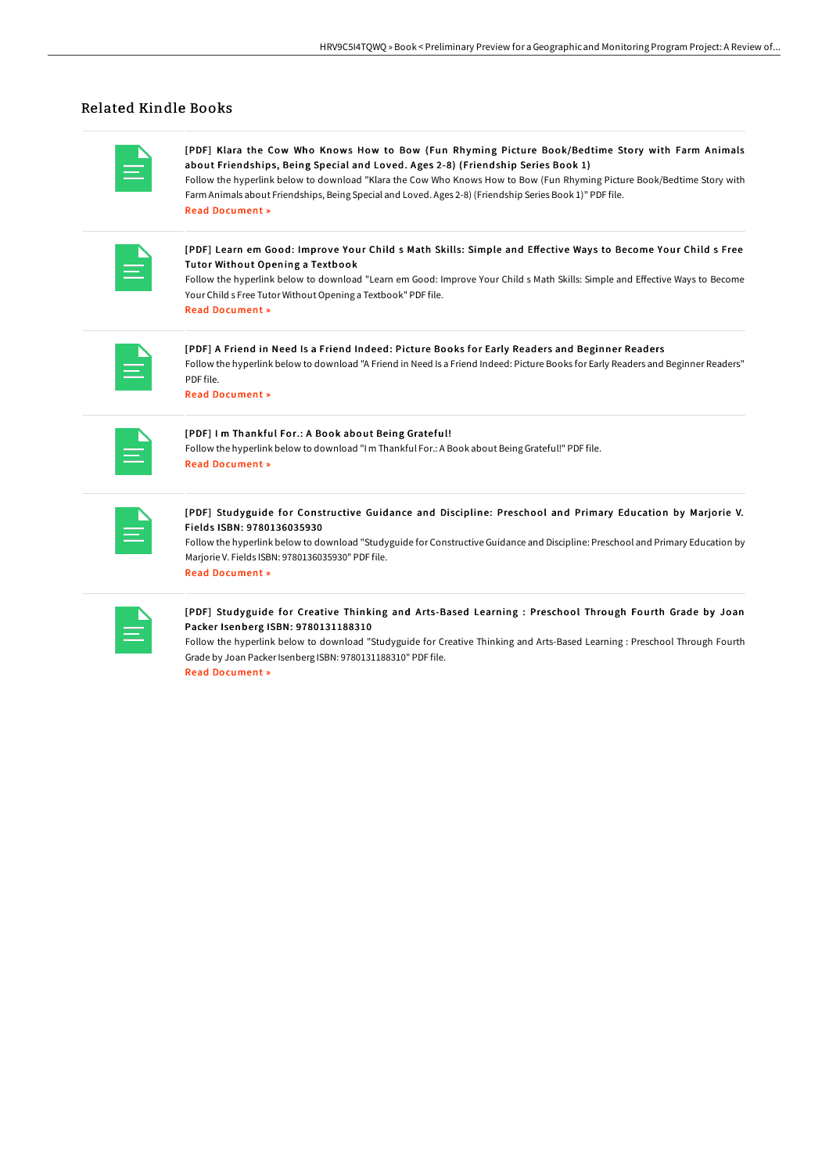# Related Kindle Books

| <b>Service Service</b> |  |
|------------------------|--|

[PDF] Klara the Cow Who Knows How to Bow (Fun Rhyming Picture Book/Bedtime Story with Farm Animals about Friendships, Being Special and Loved. Ages 2-8) (Friendship Series Book 1)

Follow the hyperlink below to download "Klara the Cow Who Knows How to Bow (Fun Rhyming Picture Book/Bedtime Story with Farm Animals about Friendships, Being Special and Loved. Ages 2-8) (Friendship Series Book 1)" PDF file. Read [Document](http://digilib.live/klara-the-cow-who-knows-how-to-bow-fun-rhyming-p.html) »

| _________                                                                                                                                                                                                                                                                                  |  |
|--------------------------------------------------------------------------------------------------------------------------------------------------------------------------------------------------------------------------------------------------------------------------------------------|--|
| $\mathcal{L}^{\text{max}}_{\text{max}}$ and $\mathcal{L}^{\text{max}}_{\text{max}}$ and $\mathcal{L}^{\text{max}}_{\text{max}}$<br>________<br>________<br>$\mathcal{L}^{\text{max}}_{\text{max}}$ and $\mathcal{L}^{\text{max}}_{\text{max}}$ and $\mathcal{L}^{\text{max}}_{\text{max}}$ |  |

[PDF] Learn em Good: Improve Your Child s Math Skills: Simple and Effective Ways to Become Your Child s Free Tutor Without Opening a Textbook

Follow the hyperlink below to download "Learn em Good: Improve Your Child s Math Skills: Simple and Effective Ways to Become Your Child s Free Tutor Without Opening a Textbook" PDF file. Read [Document](http://digilib.live/learn-em-good-improve-your-child-s-math-skills-s.html) »

|                        | <b>Service Service</b><br>__<br><b>Service Service</b>                                                                     |
|------------------------|----------------------------------------------------------------------------------------------------------------------------|
| <b>Service Service</b> | ٠<br><b>Contract Contract Contract Contract Contract Contract Contract Contract Contract Contract Contract Contract Co</b> |

[PDF] A Friend in Need Is a Friend Indeed: Picture Books for Early Readers and Beginner Readers Follow the hyperlink below to download "A Friend in Need Is a Friend Indeed: Picture Books for Early Readers and Beginner Readers" PDF file.

Read [Document](http://digilib.live/a-friend-in-need-is-a-friend-indeed-picture-book.html) »

|  | -           |
|--|-------------|
|  | ۰<br>______ |

#### [PDF] I m Thankful For.: A Book about Being Grateful!

Follow the hyperlink below to download "I m Thankful For.: A Book about Being Grateful!" PDF file. Read [Document](http://digilib.live/i-m-thankful-for-a-book-about-being-grateful-pap.html) »

| and the state of the state of the state of the state of the state of the state of the state of the state of th<br><b>Service Service</b> |  |
|------------------------------------------------------------------------------------------------------------------------------------------|--|
|                                                                                                                                          |  |

### [PDF] Studyguide for Constructive Guidance and Discipline: Preschool and Primary Education by Marjorie V. Fields ISBN: 9780136035930

Follow the hyperlink below to download "Studyguide for Constructive Guidance and Discipline: Preschool and Primary Education by Marjorie V. Fields ISBN: 9780136035930" PDF file. Read [Document](http://digilib.live/studyguide-for-constructive-guidance-and-discipl.html) »

| <b>Service Service</b>                                                                                                                                                                                                                  |
|-----------------------------------------------------------------------------------------------------------------------------------------------------------------------------------------------------------------------------------------|
| <b>Contract Contract Contract Contract Contract Contract Contract Contract Contract Contract Contract Contract Co</b><br>and the state of the state of the state of the state of the state of the state of the state of the state of th |
| and the state of the state of the state of the state of the state of the state of the state of the state of th<br>the contract of the contract of the contract of<br>______                                                             |

#### [PDF] Studyguide for Creative Thinking and Arts-Based Learning : Preschool Through Fourth Grade by Joan Packer Isenberg ISBN: 9780131188310

Follow the hyperlink below to download "Studyguide for Creative Thinking and Arts-Based Learning : Preschool Through Fourth Grade by Joan Packer Isenberg ISBN: 9780131188310" PDF file.

Read [Document](http://digilib.live/studyguide-for-creative-thinking-and-arts-based-.html) »